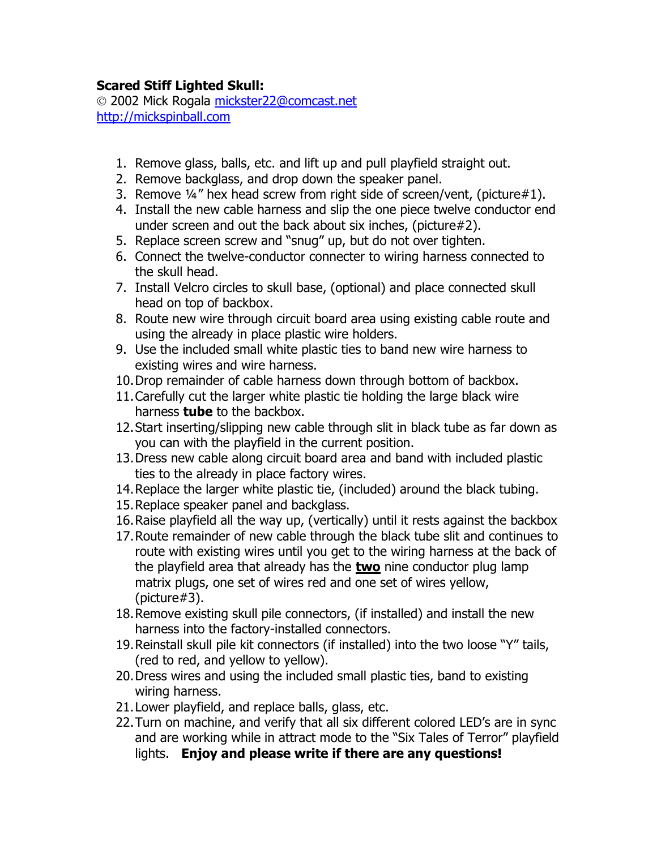## **Scared Stiff Lighted Skull:**

© 2002 Mick Rogala [mickster22@comcast.net](mailto:mickster22@comcast.net) [http://mickspinball.com](http://mickspinball.com/)

- 1. Remove glass, balls, etc. and lift up and pull playfield straight out.
- 2. Remove backglass, and drop down the speaker panel.
- 3. Remove ¼" hex head screw from right side of screen/vent, (picture#1).
- 4. Install the new cable harness and slip the one piece twelve conductor end under screen and out the back about six inches, (picture#2).
- 5. Replace screen screw and "snug" up, but do not over tighten.
- 6. Connect the twelve-conductor connecter to wiring harness connected to the skull head.
- 7. Install Velcro circles to skull base, (optional) and place connected skull head on top of backbox.
- 8. Route new wire through circuit board area using existing cable route and using the already in place plastic wire holders.
- 9. Use the included small white plastic ties to band new wire harness to existing wires and wire harness.
- 10.Drop remainder of cable harness down through bottom of backbox.
- 11.Carefully cut the larger white plastic tie holding the large black wire harness **tube** to the backbox.
- 12.Start inserting/slipping new cable through slit in black tube as far down as you can with the playfield in the current position.
- 13.Dress new cable along circuit board area and band with included plastic ties to the already in place factory wires.
- 14.Replace the larger white plastic tie, (included) around the black tubing.
- 15.Replace speaker panel and backglass.
- 16.Raise playfield all the way up, (vertically) until it rests against the backbox
- 17.Route remainder of new cable through the black tube slit and continues to route with existing wires until you get to the wiring harness at the back of the playfield area that already has the **two** nine conductor plug lamp matrix plugs, one set of wires red and one set of wires yellow, (picture#3).
- 18.Remove existing skull pile connectors, (if installed) and install the new harness into the factory-installed connectors.
- 19.Reinstall skull pile kit connectors (if installed) into the two loose "Y" tails, (red to red, and yellow to yellow).
- 20.Dress wires and using the included small plastic ties, band to existing wiring harness.
- 21.Lower playfield, and replace balls, glass, etc.
- 22.Turn on machine, and verify that all six different colored LED's are in sync and are working while in attract mode to the "Six Tales of Terror" playfield lights. **Enjoy and please write if there are any questions!**